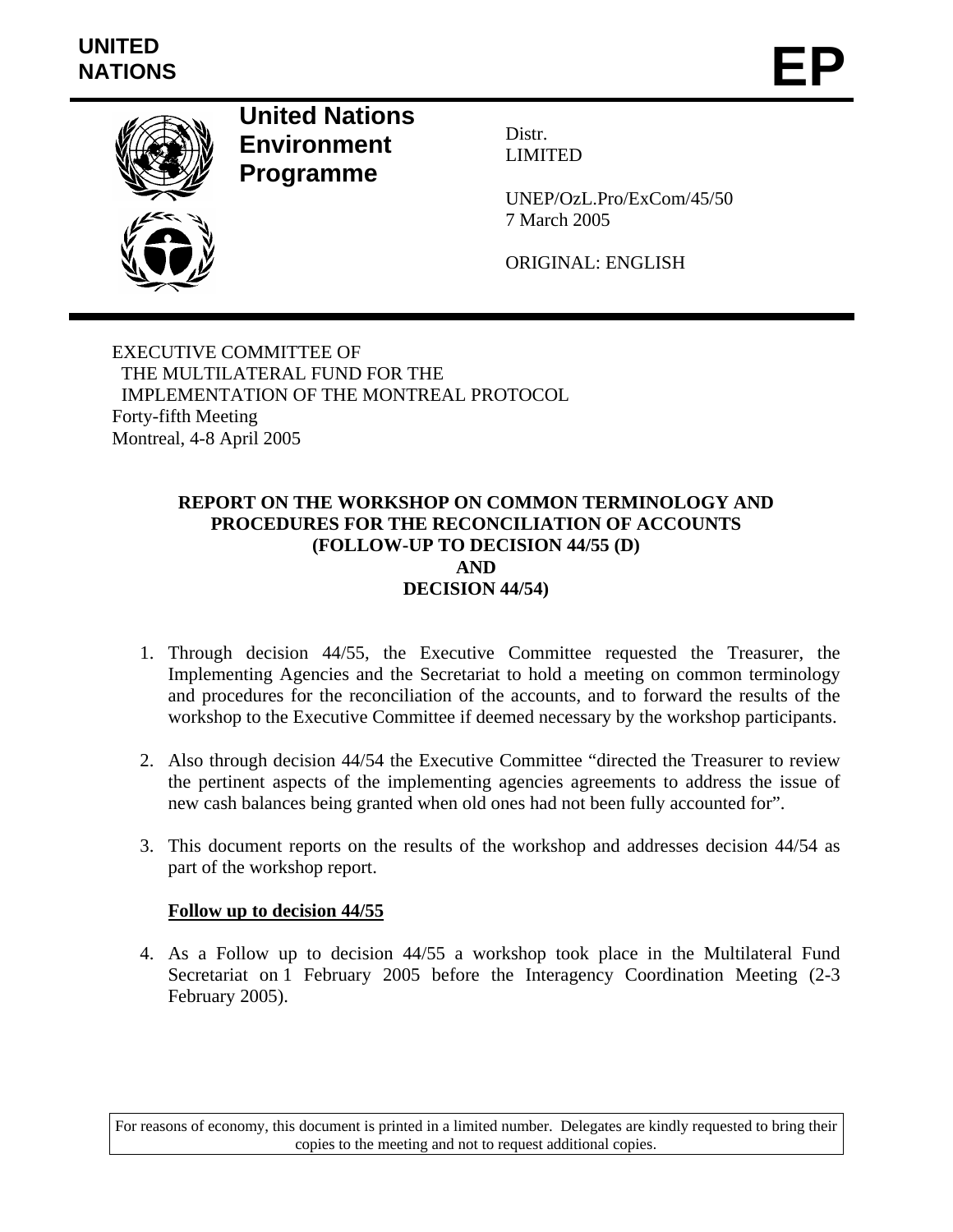

**United Nations Environment Programme** 

Distr. LIMITED

UNEP/OzL.Pro/ExCom/45/50 7 March 2005

ORIGINAL: ENGLISH

EXECUTIVE COMMITTEE OF THE MULTILATERAL FUND FOR THE IMPLEMENTATION OF THE MONTREAL PROTOCOL Forty-fifth Meeting Montreal, 4-8 April 2005

## **REPORT ON THE WORKSHOP ON COMMON TERMINOLOGY AND PROCEDURES FOR THE RECONCILIATION OF ACCOUNTS (FOLLOW-UP TO DECISION 44/55 (D) AND DECISION 44/54)**

- 1. Through decision 44/55, the Executive Committee requested the Treasurer, the Implementing Agencies and the Secretariat to hold a meeting on common terminology and procedures for the reconciliation of the accounts, and to forward the results of the workshop to the Executive Committee if deemed necessary by the workshop participants.
- 2. Also through decision 44/54 the Executive Committee "directed the Treasurer to review the pertinent aspects of the implementing agencies agreements to address the issue of new cash balances being granted when old ones had not been fully accounted for".
- 3. This document reports on the results of the workshop and addresses decision 44/54 as part of the workshop report.

## **Follow up to decision 44/55**

4. As a Follow up to decision 44/55 a workshop took place in the Multilateral Fund Secretariat on 1 February 2005 before the Interagency Coordination Meeting (2-3 February 2005).

For reasons of economy, this document is printed in a limited number. Delegates are kindly requested to bring their copies to the meeting and not to request additional copies.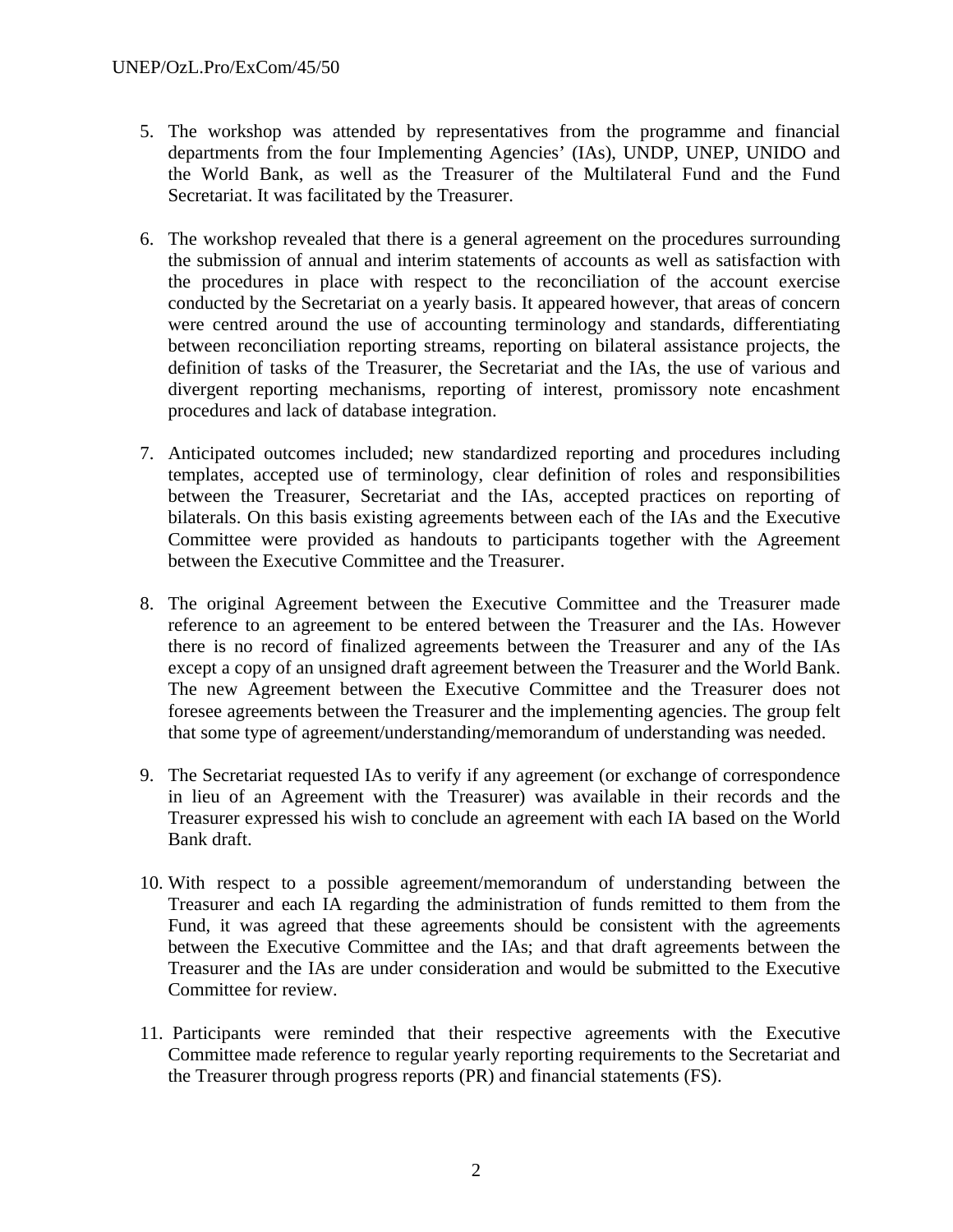- 5. The workshop was attended by representatives from the programme and financial departments from the four Implementing Agencies' (IAs), UNDP, UNEP, UNIDO and the World Bank, as well as the Treasurer of the Multilateral Fund and the Fund Secretariat. It was facilitated by the Treasurer.
- 6. The workshop revealed that there is a general agreement on the procedures surrounding the submission of annual and interim statements of accounts as well as satisfaction with the procedures in place with respect to the reconciliation of the account exercise conducted by the Secretariat on a yearly basis. It appeared however, that areas of concern were centred around the use of accounting terminology and standards, differentiating between reconciliation reporting streams, reporting on bilateral assistance projects, the definition of tasks of the Treasurer, the Secretariat and the IAs, the use of various and divergent reporting mechanisms, reporting of interest, promissory note encashment procedures and lack of database integration.
- 7. Anticipated outcomes included; new standardized reporting and procedures including templates, accepted use of terminology, clear definition of roles and responsibilities between the Treasurer, Secretariat and the IAs, accepted practices on reporting of bilaterals. On this basis existing agreements between each of the IAs and the Executive Committee were provided as handouts to participants together with the Agreement between the Executive Committee and the Treasurer.
- 8. The original Agreement between the Executive Committee and the Treasurer made reference to an agreement to be entered between the Treasurer and the IAs. However there is no record of finalized agreements between the Treasurer and any of the IAs except a copy of an unsigned draft agreement between the Treasurer and the World Bank. The new Agreement between the Executive Committee and the Treasurer does not foresee agreements between the Treasurer and the implementing agencies. The group felt that some type of agreement/understanding/memorandum of understanding was needed.
- 9. The Secretariat requested IAs to verify if any agreement (or exchange of correspondence in lieu of an Agreement with the Treasurer) was available in their records and the Treasurer expressed his wish to conclude an agreement with each IA based on the World Bank draft.
- 10. With respect to a possible agreement/memorandum of understanding between the Treasurer and each IA regarding the administration of funds remitted to them from the Fund, it was agreed that these agreements should be consistent with the agreements between the Executive Committee and the IAs; and that draft agreements between the Treasurer and the IAs are under consideration and would be submitted to the Executive Committee for review.
- 11. Participants were reminded that their respective agreements with the Executive Committee made reference to regular yearly reporting requirements to the Secretariat and the Treasurer through progress reports (PR) and financial statements (FS).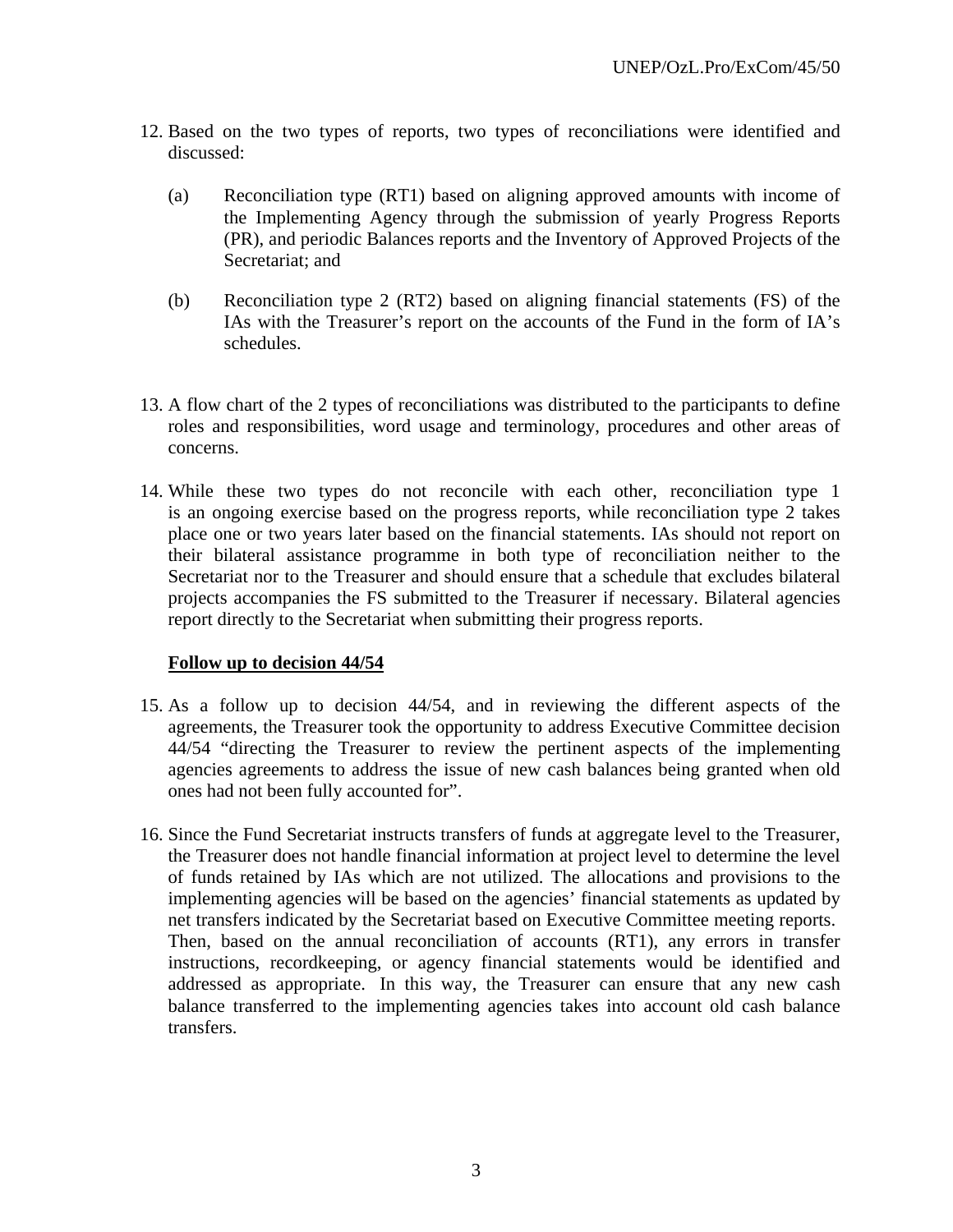- 12. Based on the two types of reports, two types of reconciliations were identified and discussed:
	- (a) Reconciliation type (RT1) based on aligning approved amounts with income of the Implementing Agency through the submission of yearly Progress Reports (PR), and periodic Balances reports and the Inventory of Approved Projects of the Secretariat: and
	- (b) Reconciliation type 2 (RT2) based on aligning financial statements (FS) of the IAs with the Treasurer's report on the accounts of the Fund in the form of IA's schedules.
- 13. A flow chart of the 2 types of reconciliations was distributed to the participants to define roles and responsibilities, word usage and terminology, procedures and other areas of concerns.
- 14. While these two types do not reconcile with each other, reconciliation type 1 is an ongoing exercise based on the progress reports, while reconciliation type 2 takes place one or two years later based on the financial statements. IAs should not report on their bilateral assistance programme in both type of reconciliation neither to the Secretariat nor to the Treasurer and should ensure that a schedule that excludes bilateral projects accompanies the FS submitted to the Treasurer if necessary. Bilateral agencies report directly to the Secretariat when submitting their progress reports.

## **Follow up to decision 44/54**

- 15. As a follow up to decision 44/54, and in reviewing the different aspects of the agreements, the Treasurer took the opportunity to address Executive Committee decision 44/54 "directing the Treasurer to review the pertinent aspects of the implementing agencies agreements to address the issue of new cash balances being granted when old ones had not been fully accounted for".
- 16. Since the Fund Secretariat instructs transfers of funds at aggregate level to the Treasurer, the Treasurer does not handle financial information at project level to determine the level of funds retained by IAs which are not utilized. The allocations and provisions to the implementing agencies will be based on the agencies' financial statements as updated by net transfers indicated by the Secretariat based on Executive Committee meeting reports. Then, based on the annual reconciliation of accounts (RT1), any errors in transfer instructions, recordkeeping, or agency financial statements would be identified and addressed as appropriate. In this way, the Treasurer can ensure that any new cash balance transferred to the implementing agencies takes into account old cash balance transfers.